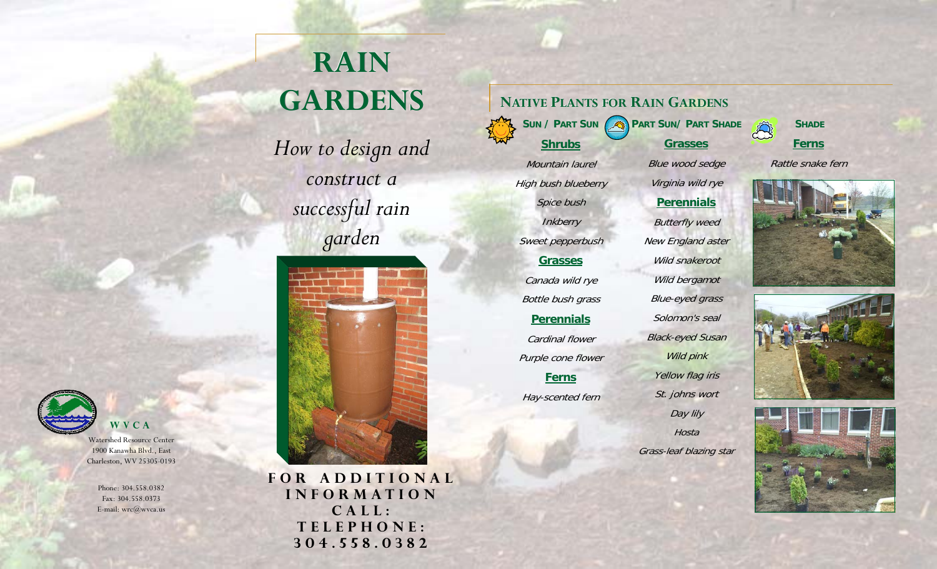# **RAIN GARDENS**

*How to design and construct a successful rain garden* 



**WVCA** 

Watershed Resource Center 1900 Kanawha Blvd., East Charleston, WV 25305-0193

> Phone: 304.558.0382 Fax: 304.558.0373 E-mail: wrc@wvca.us

**FOR ADDITIONAL INFORMATION CALL: TELEPHONE: 304.558.0382** 

**NATIVE PLANTS FOR RAIN GARDENS**

**Shrubs Grasses SUN / PART SUN PART SUN/ PART SHADE**

Mountain laurel **High bush blueberry** Spice bush **Inkberry** Sweet pepperbush **Grasses**Canada wild rye Bottle bush grass **Perennials** Cardinal flower

Purple cone flower

**Ferns**

Hay-scented fern

Blue wood sedge Virginia wild rye **Perennials** Butterfly weed New England aster Wild snakeroot Wild bergamot Blue-eyed grass Solomon's seal Black-eyed Susan Wild pink Yellow flag iris St. johns wort Day lily **Hosta** 

Grass-leaf blazing star

**Ferns SHADE**

43

Rattle snake fern